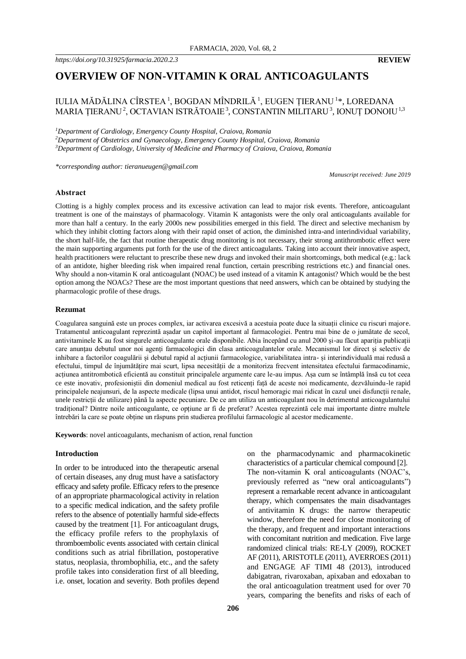# **OVERVIEW OF NON-VITAMIN K ORAL ANTICOAGULANTS**

## IULIA MĂDĂLINA CÎRSTEA <sup>1</sup>, BOGDAN MÎNDRILĂ <sup>1</sup>, EUGEN ȚIERANU <sup>1</sup>\*, LOREDANA MARIA ȚIERANU<sup>2</sup>, OCTAVIAN ISTRĂTOAIE<sup>3</sup>, CONSTANTIN MILITARU<sup>3</sup>, IONUȚ DONOIU<sup>1,3</sup>

*<sup>1</sup>Department of Cardiology, Emergency County Hospital, Craiova, Romania <sup>2</sup>Department of Obstetrics and Gynaecology, Emergency County Hospital, Craiova, Romania*

*<sup>3</sup>Department of Cardiology, University of Medicine and Pharmacy of Craiova, Craiova, Romania*

*\*corresponding author: tieranueugen@gmail.com*

*Manuscript received: June 2019*

#### **Abstract**

Clotting is a highly complex process and its excessive activation can lead to major risk events. Therefore, anticoagulant treatment is one of the mainstays of pharmacology. Vitamin K antagonists were the only oral anticoagulants available for more than half a century. In the early 2000s new possibilities emerged in this field. The direct and selective mechanism by which they inhibit clotting factors along with their rapid onset of action, the diminished intra-and interindividual variability, the short half-life, the fact that routine therapeutic drug monitoring is not necessary, their strong antithrombotic effect were the main supporting arguments put forth for the use of the direct anticoagulants. Taking into account their innovative aspect, health practitioners were reluctant to prescribe these new drugs and invoked their main shortcomings, both medical (e.g.: lack of an antidote, higher bleeding risk when impaired renal function, certain prescribing restrictions etc.) and financial ones. Why should a non-vitamin K oral anticoagulant (NOAC) be used instead of a vitamin K antagonist? Which would be the best option among the NOACs? These are the most important questions that need answers, which can be obtained by studying the pharmacologic profile of these drugs.

#### **Rezumat**

Coagularea sanguină este un proces complex, iar activarea excesivă a acestuia poate duce la situații clinice cu riscuri majore. Tratamentul anticoagulant reprezintă așadar un capitol important al farmacologiei. Pentru mai bine de o jumătate de secol, antivitaminele K au fost singurele anticoagulante orale disponibile. Abia începând cu anul 2000 și-au făcut apariția publicații care anunțau debutul unor noi agenți farmacologici din clasa anticoagulantelor orale. Mecanismul lor direct și selectiv de inhibare a factorilor coagulării și debutul rapid al acțiunii farmacologice, variabilitatea intra- și interindividuală mai redusă a efectului, timpul de înjumătățire mai scurt, lipsa necesității de a monitoriza frecvent intensitatea efectului farmacodinamic, acțiunea antitrombotică eficientă au constituit principalele argumente care le-au impus. Așa cum se întâmplă însă cu tot ceea ce este inovativ, profesioniștii din domeniul medical au fost reticenți față de aceste noi medicamente, dezvăluindu-le rapid principalele neajunsuri, de la aspecte medicale (lipsa unui antidot, riscul hemoragic mai ridicat în cazul unei disfuncții renale, unele restricții de utilizare) până la aspecte pecuniare. De ce am utiliza un anticoagulant nou în detrimentul anticoagulantului tradițional? Dintre noile anticoagulante, ce opțiune ar fi de preferat? Acestea reprezintă cele mai importante dintre multele întrebări la care se poate obține un răspuns prin studierea profilului farmacologic al acestor medicamente.

**Keywords**: novel anticoagulants, mechanism of action, renal function

#### **Introduction**

In order to be introduced into the therapeutic arsenal of certain diseases, any drug must have a satisfactory efficacy and safety profile. Efficacy refers to the presence of an appropriate pharmacological activity in relation to a specific medical indication, and the safety profile refers to the absence of potentially harmful side-effects caused by the treatment [1]. For anticoagulant drugs, the efficacy profile refers to the prophylaxis of thromboembolic events associated with certain clinical conditions such as atrial fibrillation, postoperative status, neoplasia, thrombophilia, etc., and the safety profile takes into consideration first of all bleeding, i.e. onset, location and severity. Both profiles depend characteristics of a particular chemical compound [2]. The non-vitamin K oral anticoagulants (NOAC's, previously referred as "new oral anticoagulants") represent a remarkable recent advance in anticoagulant therapy, which compensates the main disadvantages of antivitamin K drugs: the narrow therapeutic window, therefore the need for close monitoring of the therapy, and frequent and important interactions with concomitant nutrition and medication. Five large randomized clinical trials: RE-LY (2009), ROCKET AF (2011), ARISTOTLE (2011), AVERROES (2011) and ENGAGE AF TIMI 48 (2013), introduced dabigatran, rivaroxaban, apixaban and edoxaban to the oral anticoagulation treatment used for over 70 years, comparing the benefits and risks of each of

on the pharmacodynamic and pharmacokinetic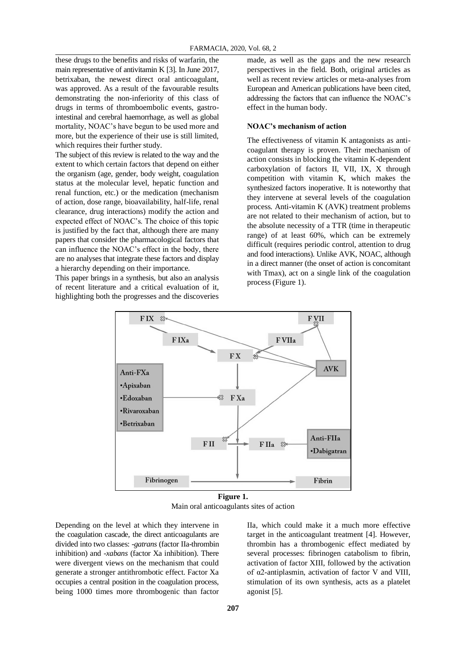these drugs to the benefits and risks of warfarin, the main representative of antivitamin K [3]. In June 2017, betrixaban, the newest direct oral anticoagulant, was approved. As a result of the favourable results demonstrating the non-inferiority of this class of drugs in terms of thromboembolic events, gastrointestinal and cerebral haemorrhage, as well as global mortality, NOAC's have begun to be used more and more, but the experience of their use is still limited, which requires their further study.

The subject of this review is related to the way and the extent to which certain factors that depend on either the organism (age, gender, body weight, coagulation status at the molecular level, hepatic function and renal function, etc.) or the medication (mechanism of action, dose range, bioavailability, half-life, renal clearance, drug interactions) modify the action and expected effect of NOAC's. The choice of this topic is justified by the fact that, although there are many papers that consider the pharmacological factors that can influence the NOAC's effect in the body, there are no analyses that integrate these factors and display a hierarchy depending on their importance.

This paper brings in a synthesis, but also an analysis of recent literature and a critical evaluation of it, highlighting both the progresses and the discoveries

made, as well as the gaps and the new research perspectives in the field. Both, original articles as well as recent review articles or meta-analyses from European and American publications have been cited, addressing the factors that can influence the NOAC's effect in the human body.

#### **NOAC's mechanism of action**

The effectiveness of vitamin K antagonists as anticoagulant therapy is proven. Their mechanism of action consists in blocking the vitamin K-dependent carboxylation of factors II, VII, IX, X through competition with vitamin K, which makes the synthesized factors inoperative. It is noteworthy that they intervene at several levels of the coagulation process. Anti-vitamin K (AVK) treatment problems are not related to their mechanism of action, but to the absolute necessity of a TTR (time in therapeutic range) of at least 60%, which can be extremely difficult (requires periodic control, attention to drug and food interactions). Unlike AVK, NOAC, although in a direct manner (the onset of action is concomitant with Tmax), act on a single link of the coagulation process (Figure 1).



**Figure 1.** Main oral anticoagulants sites of action

Depending on the level at which they intervene in the coagulation cascade, the direct anticoagulants are divided into two classes: *-gatrans* (factor IIa-thrombin inhibition) and *-xabans* (factor Xa inhibition). There were divergent views on the mechanism that could generate a stronger antithrombotic effect. Factor Xa occupies a central position in the coagulation process, being 1000 times more thrombogenic than factor

IIa, which could make it a much more effective target in the anticoagulant treatment [4]. However, thrombin has a thrombogenic effect mediated by several processes: fibrinogen catabolism to fibrin, activation of factor XIII, followed by the activation of α2-antiplasmin, activation of factor V and VIII, stimulation of its own synthesis, acts as a platelet agonist [5].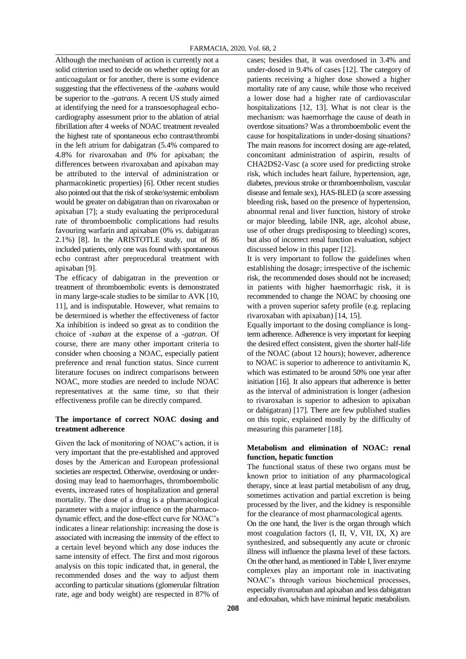Although the mechanism of action is currently not a solid criterion used to decide on whether opting for an anticoagulant or for another, there is some evidence suggesting that the effectiveness of the *-xabans* would be superior to the *-gatrans*. A recent US study aimed at identifying the need for a transoesophageal echocardiography assessment prior to the ablation of atrial fibrillation after 4 weeks of NOAC treatment revealed the highest rate of spontaneous echo contrast/thrombi in the left atrium for dabigatran (5.4% compared to 4.8% for rivaroxaban and 0% for apixaban; the differences between rivaroxaban and apixaban may be attributed to the interval of administration or pharmacokinetic properties) [6]. Other recent studies also pointed out that the risk of stroke/systemic embolism would be greater on dabigatran than on rivaroxaban or apixaban [7]; a study evaluating the periprocedural rate of thromboembolic complications had results favouring warfarin and apixaban (0% *vs*. dabigatran 2.1%) [8]. In the ARISTOTLE study, out of 86 included patients, only one was found with spontaneous echo contrast after preprocedural treatment with apixaban [9].

The efficacy of dabigatran in the prevention or treatment of thromboembolic events is demonstrated in many large-scale studies to be similar to AVK [10, 11], and is indisputable. However, what remains to be determined is whether the effectiveness of factor Xa inhibition is indeed so great as to condition the choice of *-xaban* at the expense of a *-gatran*. Of course, there are many other important criteria to consider when choosing a NOAC, especially patient preference and renal function status. Since current literature focuses on indirect comparisons between NOAC, more studies are needed to include NOAC representatives at the same time, so that their effectiveness profile can be directly compared.

## **The importance of correct NOAC dosing and treatment adherence**

Given the lack of monitoring of NOAC's action, it is very important that the pre-established and approved doses by the American and European professional societies are respected. Otherwise, overdosing or underdosing may lead to haemorrhages, thromboembolic events, increased rates of hospitalization and general mortality. The dose of a drug is a pharmacological parameter with a major influence on the pharmacodynamic effect, and the dose-effect curve for NOAC's indicates a linear relationship: increasing the dose is associated with increasing the intensity of the effect to a certain level beyond which any dose induces the same intensity of effect. The first and most rigorous analysis on this topic indicated that, in general, the recommended doses and the way to adjust them according to particular situations (glomerular filtration rate, age and body weight) are respected in 87% of cases; besides that, it was overdosed in 3.4% and under-dosed in 9.4% of cases [12]. The category of patients receiving a higher dose showed a higher mortality rate of any cause, while those who received a lower dose had a higher rate of cardiovascular hospitalizations [12, 13]. What is not clear is the mechanism: was haemorrhage the cause of death in overdose situations? Was a thromboembolic event the cause for hospitalizations in under-dosing situations? The main reasons for incorrect dosing are age-related, concomitant administration of aspirin, results of CHA2DS2-Vasc (a score used for predicting stroke risk, which includes heart failure, hypertension, age, diabetes, previous stroke or thromboembolism, vascular disease and female sex), HAS-BLED (a score assessing bleeding risk, based on the presence of hypertension, abnormal renal and liver function, history of stroke or major bleeding, labile INR, age, alcohol abuse, use of other drugs predisposing to bleeding) scores, but also of incorrect renal function evaluation, subject discussed below in this paper [12].

It is very important to follow the guidelines when establishing the dosage; irrespective of the ischemic risk, the recommended doses should not be increased; in patients with higher haemorrhagic risk, it is recommended to change the NOAC by choosing one with a proven superior safety profile (e.g. replacing rivaroxaban with apixaban) [14, 15].

Equally important to the dosing compliance is longterm adherence. Adherence is very important for keeping the desired effect consistent, given the shorter half-life of the NOAC (about 12 hours); however, adherence to NOAC is superior to adherence to antivitamin K, which was estimated to be around 50% one year after initiation [16]. It also appears that adherence is better as the interval of administration is longer (adhesion to rivaroxaban is superior to adhesion to apixaban or dabigatran) [17]. There are few published studies on this topic, explained mostly by the difficulty of measuring this parameter [18].

## **Metabolism and elimination of NOAC: renal function, hepatic function**

The functional status of these two organs must be known prior to initiation of any pharmacological therapy, since at least partial metabolism of any drug, sometimes activation and partial excretion is being processed by the liver, and the kidney is responsible for the clearance of most pharmacological agents.

On the one hand, the liver is the organ through which most coagulation factors (I, II, V, VII, IX, X) are synthesized, and subsequently any acute or chronic illness will influence the plasma level of these factors. On the other hand, as mentioned in Table I, liver enzyme complexes play an important role in inactivating NOAC's through various biochemical processes, especially rivaroxaban and apixaban and less dabigatran and edoxaban, which have minimal hepatic metabolism.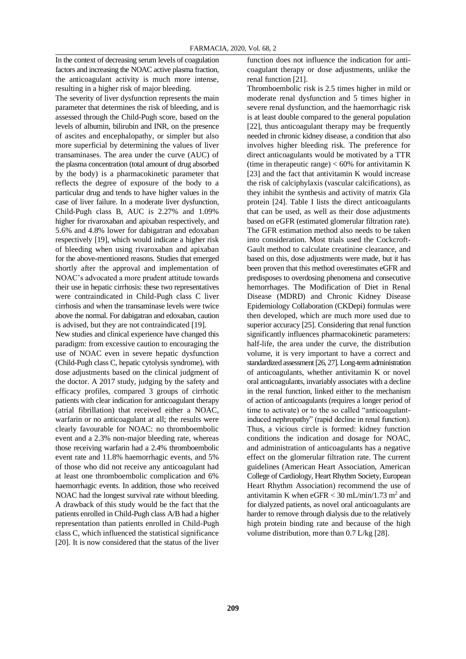In the context of decreasing serum levels of coagulation factors and increasing the NOAC active plasma fraction, the anticoagulant activity is much more intense, resulting in a higher risk of major bleeding.

The severity of liver dysfunction represents the main parameter that determines the risk of bleeding, and is assessed through the Child-Pugh score, based on the levels of albumin, bilirubin and INR, on the presence of ascites and encephalopathy, or simpler but also more superficial by determining the values of liver transaminases. The area under the curve (AUC) of the plasma concentration (total amount of drug absorbed by the body) is a pharmacokinetic parameter that reflects the degree of exposure of the body to a particular drug and tends to have higher values in the case of liver failure. In a moderate liver dysfunction, Child-Pugh class B, AUC is 2.27% and 1.09% higher for rivaroxaban and apixaban respectively, and 5.6% and 4.8% lower for dabigatran and edoxaban respectively [19], which would indicate a higher risk of bleeding when using rivaroxaban and apixaban for the above-mentioned reasons. Studies that emerged shortly after the approval and implementation of NOAC's advocated a more prudent attitude towards their use in hepatic cirrhosis: these two representatives were contraindicated in Child-Pugh class C liver cirrhosis and when the transaminase levels were twice above the normal. For dabigatran and edoxaban, caution is advised, but they are not contraindicated [19].

New studies and clinical experience have changed this paradigm: from excessive caution to encouraging the use of NOAC even in severe hepatic dysfunction (Child-Pugh class C, hepatic cytolysis syndrome), with dose adjustments based on the clinical judgment of the doctor. A 2017 study, judging by the safety and efficacy profiles, compared 3 groups of cirrhotic patients with clear indication for anticoagulant therapy (atrial fibrillation) that received either a NOAC, warfarin or no anticoagulant at all; the results were clearly favourable for NOAC: no thromboembolic event and a 2.3% non-major bleeding rate, whereas those receiving warfarin had a 2.4% thromboembolic event rate and 11.8% haemorrhagic events, and 5% of those who did not receive any anticoagulant had at least one thromboembolic complication and 6% haemorrhagic events. In addition, those who received NOAC had the longest survival rate without bleeding. A drawback of this study would be the fact that the patients enrolled in Child-Pugh class A/B had a higher representation than patients enrolled in Child-Pugh class C, which influenced the statistical significance [20]. It is now considered that the status of the liver

function does not influence the indication for anticoagulant therapy or dose adjustments, unlike the renal function [21].

Thromboembolic risk is 2.5 times higher in mild or moderate renal dysfunction and 5 times higher in severe renal dysfunction, and the haemorrhagic risk is at least double compared to the general population [22], thus anticoagulant therapy may be frequently needed in chronic kidney disease, a condition that also involves higher bleeding risk. The preference for direct anticoagulants would be motivated by a TTR (time in the rapeutic range)  $< 60\%$  for antivitamin K [23] and the fact that antivitamin K would increase the risk of calciphylaxis (vascular calcifications), as they inhibit the synthesis and activity of matrix Gla protein [24]. Table I lists the direct anticoagulants that can be used, as well as their dose adjustments based on eGFR (estimated glomerular filtration rate). The GFR estimation method also needs to be taken into consideration. Most trials used the Cockcroft-Gault method to calculate creatinine clearance, and based on this, dose adjustments were made, but it has been proven that this method overestimates eGFR and predisposes to overdosing phenomena and consecutive hemorrhages. The Modification of Diet in Renal Disease (MDRD) and Chronic Kidney Disease Epidemiology Collaboration (CKDepi) formulas were then developed, which are much more used due to superior accuracy [25]. Considering that renal function significantly influences pharmacokinetic parameters: half-life, the area under the curve, the distribution volume, it is very important to have a correct and standardized assessment [26, 27]. Long-term administration of anticoagulants, whether antivitamin K or novel oral anticoagulants, invariably associates with a decline in the renal function, linked either to the mechanism of action of anticoagulants (requires a longer period of time to activate) or to the so called "anticoagulantinduced nephropathy" (rapid decline in renal function). Thus, a vicious circle is formed: kidney function conditions the indication and dosage for NOAC, and administration of anticoagulants has a negative effect on the glomerular filtration rate. The current guidelines (American Heart Association, American College of Cardiology, Heart Rhythm Society, European Heart Rhythm Association) recommend the use of antivitamin K when  $eGFR < 30$  mL/min/1.73 m<sup>2</sup> and for dialyzed patients, as novel oral anticoagulants are harder to remove through dialysis due to the relatively high protein binding rate and because of the high volume distribution, more than 0.7 L/kg [28].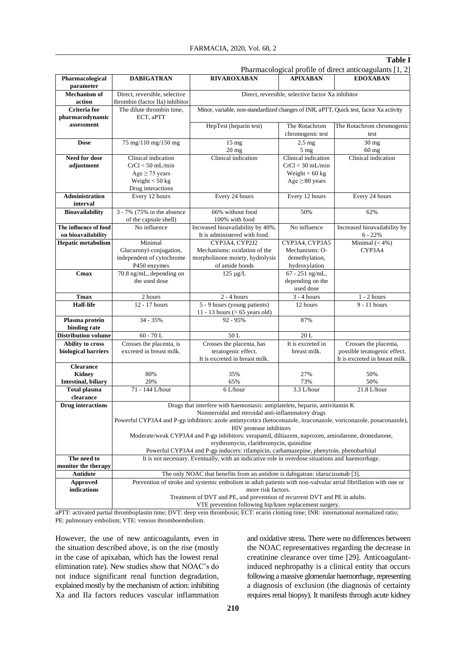#### **Table I**

Pharmacological profile of direct anticoagulants [1, 2] **Pharmacological parameter DABIGATRAN RIVAROXABAN APIXABAN EDOXABAN Mechanism of action** Direct, reversible, selective thrombin (factor IIa) inhibitor Direct, reversible, selective factor Xa inhibitor **Criteria for pharmacodynamic assessment** The dilute thrombin time, ECT, aPTT Minor, variable, non-standardized changes of INR, aPTT, Quick test, factor Xa activity HepTest (heparin test) The Rotachrom chromogenic test The Rotachrom chromogenic test **Dose** 75 mg/110 mg/150 mg 15 mg 20 mg 2.5 mg 5 mg 30 mg 60 mg **Need for dose adjustment** Clinical indication  $CrCl < 50$  mL/min Age  $\geq$  75 years Weight < 50 kg Drug interactions Clinical indication Clinical indication CrCl < 30 mL/min Weight < 60 kg  $Age \geq 80$  years Clinical indication **Administration interval** Every 12 hours Every 24 hours Every 12 hours Every 24 hours **Bioavailability** 3 - 7% (75% in the absence of the capsule shell) 66% without food 100% with food 50% 62% **The influence of food on bioavailability** No influence Increased bioavailability by 40% It is administered with food. No influence Increased bioavailability by 6 - 22% **Hepatic metabolism** Minimal Glucuronyl-conjugation, independent of cytochrome P450 enzymes CYP3A4, CYP2J2 Mechanisms: oxidation of the morpholinone moiety, hydrolysis of amide bonds CYP3A4, CYP3A5 Mechanisms: Odemethylation, hydroxylation Minimal  $(< 4\%)$ CYP3A4 **Cmax** 70.8 ng/mL, depending on the used dose 125 µg/L 67 - 251 ng/mL, depending on the used dose **Tmax** 2 hours 2 - 4 hours 3 - 4 hours 1 - 2 hours **Half-life** 12 - 17 hours 5 - 9 hours (young patients) 11 - 13 hours (> 65 years old) 12 hours 9 - 11 hours **Plasma protein binding rate** 34 - 35% 92 - 95% 87% **Distribution volume** 60 - 70 L 50 L 50 L 20 L **Ability to cross biological barriers** Crosses the placenta, is excreted in breast milk. Crosses the placenta, has teratogenic effect. It is excreted in breast milk. It is excreted in breast milk. Crosses the placenta, possible teratogenic effect. It is excreted in breast milk. **Clearance Kidney Intestinal, biliary** 80% 20% 35% 65% 27% 73% 50% 50% **Total plasma clearance** 71 - 144 L/hour 6 L/hour 3.3 L/hour 21.8 L/hour **Drug interactions** Drugs that interfere with haemostasis: antiplatelets, heparin, antivitamin K Nonsteroidal and steroidal anti-inflammatory drugs Powerful CYP3A4 and P-gp inhibitors: azole antimycotics (ketoconazole, itraconazole, voriconazole, posaconazole), HIV protease inhibitors Moderate/weak CYP3A4 and P-gp inhibitors: verapamil, diltiazem, naproxen, amiodarone, dronedarone, erythromycin, clarithromycin, quinidine Powerful CYP3A4 and P-gp inducers: rifampicin, carbamazepine, phenytoin, phenobarbital **The need to monitor the therapy** It is not necessary. Eventually, with an indicative role in overdose situations and haemorrhage. **Antidote** The only NOAC that benefits from an antidote is dabigatran: idarucizumab [3]. **Approved indications** Prevention of stroke and systemic embolism in adult patients with non-valvular atrial fibrillation with one or more risk factors. Treatment of DVT and PE, and prevention of recurrent DVT and PE in adults. VTE prevention following hip/knee replacement surgery.

aPTT: activated partial thromboplastin time; DVT: deep vein thrombosis; ECT: ecarin clotting time; INR: international normalized ratio; PE: pulmonary embolism; VTE: venous thromboembolism.

However, the use of new anticoagulants, even in the situation described above, is on the rise (mostly in the case of apixaban, which has the lowest renal elimination rate). New studies show that NOAC's do not induce significant renal function degradation, explained mostly by the mechanism of action: inhibiting Xa and IIa factors reduces vascular inflammation

and oxidative stress. There were no differences between the NOAC representatives regarding the decrease in creatinine clearance over time [29]. Anticoagulantinduced nephropathy is a clinical entity that occurs following a massive glomerular haemorrhage, representing a diagnosis of exclusion (the diagnosis of certainty requires renal biopsy). It manifests through acute kidney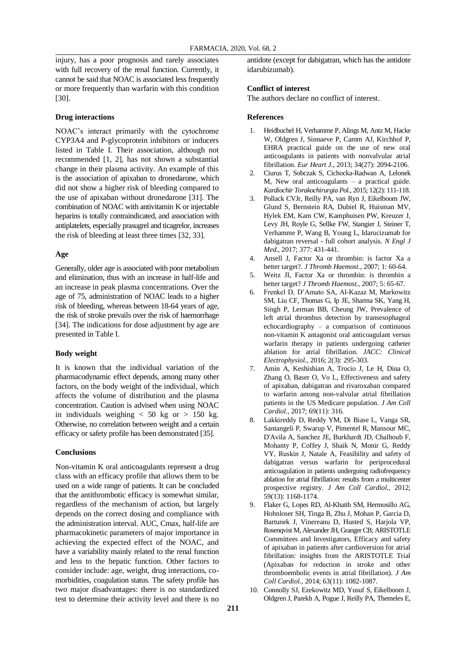injury, has a poor prognosis and rarely associates with full recovery of the renal function. Currently, it cannot be said that NOAC is associated less frequently or more frequently than warfarin with this condition [30].

## **Drug interactions**

NOAC's interact primarily with the cytochrome CYP3A4 and P-glycoprotein inhibitors or inducers listed in Table I. Their association, although not recommended [1, 2], has not shown a substantial change in their plasma activity. An example of this is the association of apixaban to dronedarone, which did not show a higher risk of bleeding compared to the use of apixaban without dronedarone [31]. The combination of NOAC with antivitamin K or injectable heparins is totally contraindicated, and association with antiplatelets, especially prasugrel and ticagrelor, increases the risk of bleeding at least three times [32, 33].

#### **Age**

Generally, older age is associated with poor metabolism and elimination, thus with an increase in half-life and an increase in peak plasma concentrations. Over the age of 75, administration of NOAC leads to a higher risk of bleeding, whereas between 18-64 years of age, the risk of stroke prevails over the risk of haemorrhage [34]. The indications for dose adjustment by age are presented in Table I.

#### **Body weight**

It is known that the individual variation of the pharmacodynamic effect depends, among many other factors, on the body weight of the individual, which affects the volume of distribution and the plasma concentration. Caution is advised when using NOAC in individuals weighing  $< 50$  kg or  $> 150$  kg. Otherwise, no correlation between weight and a certain efficacy or safety profile has been demonstrated [35].

#### **Conclusions**

Non-vitamin K oral anticoagulants represent a drug class with an efficacy profile that allows them to be used on a wide range of patients. It can be concluded that the antithrombotic efficacy is somewhat similar, regardless of the mechanism of action, but largely depends on the correct dosing and compliance with the administration interval. AUC, Cmax, half-life are pharmacokinetic parameters of major importance in achieving the expected effect of the NOAC, and have a variability mainly related to the renal function and less to the hepatic function. Other factors to consider include: age, weight, drug interactions, comorbidities, coagulation status. The safety profile has two major disadvantages: there is no standardized test to determine their activity level and there is no

antidote (except for dabigatran, which has the antidote idarubizumab).

## **Conflict of interest**

The authors declare no conflict of interest.

### **References**

- 1. Heidbuchel H, Verhamme P, Alings M, Antz M, Hacke W, Oldgren J, Sinnaeve P, Camm AJ, Kirchhof P, EHRA practical guide on the use of new oral anticoagulants in patients with nonvalvular atrial fibrillation. *Eur Heart J.*, 2013; 34(27): 2094-2106.
- 2. Ciurus T, Sobczak S, Cichocka-Radwan A, Lelonek M, New oral anticoagulants – a practical guide. *Kardiochir Torakochirurgia Pol.*, 2015; 12(2): 111-118.
- 3. Pollack CVJr, Reilly PA, van Ryn J, Eikelboom JW, Glund S, Bernstein RA, Dubiel R, Huisman MV, Hylek EM, Kam CW, Kamphuisen PW, Kreuzer J, Levy JH, Royle G, Sellke FW, Stangier J, Steiner T, Verhamme P, Wang B, Young L, Idarucizumab for dabigatran reversal - full cohort analysis. *N Engl J Med.*, 2017; 377: 431-441.
- 4. Ansell J, Factor Xa or thrombin: is factor Xa a better target?. *J Thromb Haemost.*, 2007; 1: 60-64.
- 5. Weitz JI, Factor Xa or thrombin: is thrombin a better target? *J Thromb Haemost.*, 2007; 5: 65-67.
- 6. Frenkel D, D'Amato SA, Al-Kazaz M, Markowitz SM, Liu CF, Thomas G, Ip JE, Sharma SK, Yang H, Singh P, Lerman BB, Cheung JW, Prevalence of left atrial thrombus detection by transesophageal echocardiography – a comparison of continuous non-vitamin K antagonist oral anticoagulant versus warfarin therapy in patients undergoing catheter ablation for atrial fibrillation. *JACC: Clinical Electrophysiol.*, 2016; 2(3): 295-303.
- 7. Amin A, Keshishian A, Trocio J, Le H, Dina O, Zhang O, Baser O, Vo L, Effectiveness and safety of apixaban, dabigatran and rivaroxaban compared to warfarin among non-valvular atrial fibrillation patients in the US Medicare population. *J Am Coll Cardiol.*, 2017; 69(11): 316.
- 8. Lakkireddy D, Reddy YM, Di Biase L, Vanga SR, Santangeli P, Swarup V, Pimentel R, Mansour MC, D'Avila A, Sanchez JE, Burkhardt JD, Chalhoub F, Mohanty P, Coffey J, Shaik N, Monir G, Reddy VY, Ruskin J, Natale A, Feasibility and safety of dabigatran versus warfarin for periprocedural anticoagulation in patients undergoing radiofrequency ablation for atrial fibrillation: results from a multicenter prospective registry. *J Am Coll Cardiol.*, 2012; 59(13): 1168-1174.
- 9. Flaker G, Lopes RD, Al-Khatib SM, Hermosillo AG, Hohnloser SH, Tinga B, Zhu J, Mohan P, Garcia D, Bartunek J, Vinereanu D, Husted S, Harjola VP, Rosenqvist M, Alexander JH, Granger CB; ARISTOTLE Committees and Investigators, Efficacy and safety of apixaban in patients after cardioversion for atrial fibrillation: insights from the ARISTOTLE Trial (Apixaban for reduction in stroke and other thromboembolic events in atrial fibrillation). *J Am Coll Cardiol.*, 2014; 63(11): 1082-1087.
- 10. Connolly SJ, Ezekowitz MD, Yusuf S, Eikelboom J, Oldgren J, Parekh A, Pogue J, Reilly PA, Themeles E,